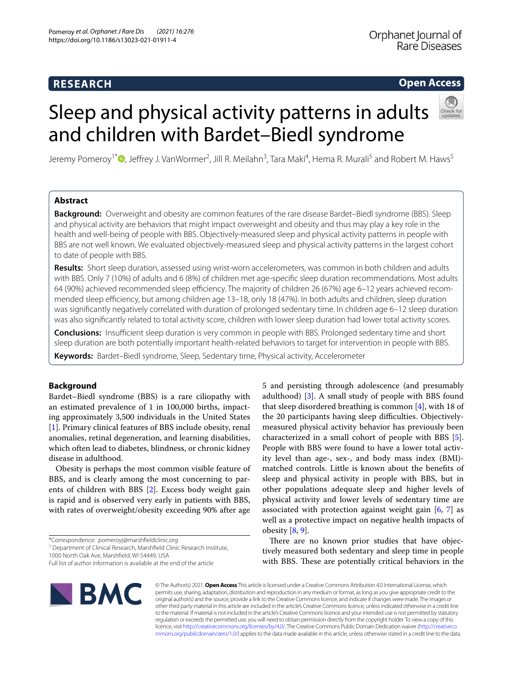# **RESEARCH**

# **Open Access**

Jeremy Pomeroy<sup>1\*</sup>®[,](http://orcid.org/0000-0002-5270-9981) Jeffrey J. VanWormer<sup>2</sup>, Jill R. Meilahn<sup>3</sup>, Tara Maki<sup>4</sup>, Hema R. Murali<sup>5</sup> and Robert M. Haws<sup>5</sup>

Sleep and physical activity patterns in adults

and children with Bardet–Biedl syndrome

# **Abstract**

**Background:** Overweight and obesity are common features of the rare disease Bardet–Biedl syndrome (BBS). Sleep and physical activity are behaviors that might impact overweight and obesity and thus may play a key role in the health and well-being of people with BBS. Objectively-measured sleep and physical activity patterns in people with BBS are not well known. We evaluated objectively-measured sleep and physical activity patterns in the largest cohort to date of people with BBS.

**Results:** Short sleep duration, assessed using wrist-worn accelerometers, was common in both children and adults with BBS. Only 7 (10%) of adults and 6 (8%) of children met age-specifc sleep duration recommendations. Most adults 64 (90%) achieved recommended sleep efficiency. The majority of children 26 (67%) age 6-12 years achieved recommended sleep efficiency, but among children age 13–18, only 18 (47%). In both adults and children, sleep duration was signifcantly negatively correlated with duration of prolonged sedentary time. In children age 6–12 sleep duration was also signifcantly related to total activity score, children with lower sleep duration had lower total activity scores.

**Conclusions:** Insufficient sleep duration is very common in people with BBS. Prolonged sedentary time and short sleep duration are both potentially important health-related behaviors to target for intervention in people with BBS.

**Keywords:** Bardet–Biedl syndrome, Sleep, Sedentary time, Physical activity, Accelerometer

# **Background**

Bardet–Biedl syndrome (BBS) is a rare ciliopathy with an estimated prevalence of 1 in 100,000 births, impacting approximately 3,500 individuals in the United States [[1\]](#page-6-0). Primary clinical features of BBS include obesity, renal anomalies, retinal degeneration, and learning disabilities, which often lead to diabetes, blindness, or chronic kidney disease in adulthood.

Obesity is perhaps the most common visible feature of BBS, and is clearly among the most concerning to parents of children with BBS [\[2](#page-6-1)]. Excess body weight gain is rapid and is observed very early in patients with BBS, with rates of overweight/obesity exceeding 90% after age

1000 North Oak Ave, Marshfeld, WI 54449, USA

5 and persisting through adolescence (and presumably adulthood) [\[3](#page-6-2)]. A small study of people with BBS found that sleep disordered breathing is common [\[4\]](#page-6-3), with 18 of the 20 participants having sleep difficulties. Objectivelymeasured physical activity behavior has previously been characterized in a small cohort of people with BBS [\[5](#page-6-4)]. People with BBS were found to have a lower total activity level than age-, sex-, and body mass index (BMI) matched controls. Little is known about the benefts of sleep and physical activity in people with BBS, but in other populations adequate sleep and higher levels of physical activity and lower levels of sedentary time are associated with protection against weight gain  $[6, 7]$  $[6, 7]$  $[6, 7]$  $[6, 7]$  as well as a protective impact on negative health impacts of obesity  $[8, 9]$  $[8, 9]$  $[8, 9]$ .

There are no known prior studies that have objectively measured both sedentary and sleep time in people with BBS. These are potentially critical behaviors in the



© The Author(s) 2021. **Open Access** This article is licensed under a Creative Commons Attribution 4.0 International License, which permits use, sharing, adaptation, distribution and reproduction in any medium or format, as long as you give appropriate credit to the original author(s) and the source, provide a link to the Creative Commons licence, and indicate if changes were made. The images or other third party material in this article are included in the article's Creative Commons licence, unless indicated otherwise in a credit line to the material. If material is not included in the article's Creative Commons licence and your intended use is not permitted by statutory regulation or exceeds the permitted use, you will need to obtain permission directly from the copyright holder. To view a copy of this licence, visit [http://creativecommons.org/licenses/by/4.0/.](http://creativecommons.org/licenses/by/4.0/) The Creative Commons Public Domain Dedication waiver ([http://creativeco](http://creativecommons.org/publicdomain/zero/1.0/) [mmons.org/publicdomain/zero/1.0/](http://creativecommons.org/publicdomain/zero/1.0/)) applies to the data made available in this article, unless otherwise stated in a credit line to the data.

<sup>\*</sup>Correspondence: pomeroyj@marshfeldclinic.org

<sup>&</sup>lt;sup>1</sup> Department of Clinical Research, Marshfield Clinic Research Institute,

Full list of author information is available at the end of the article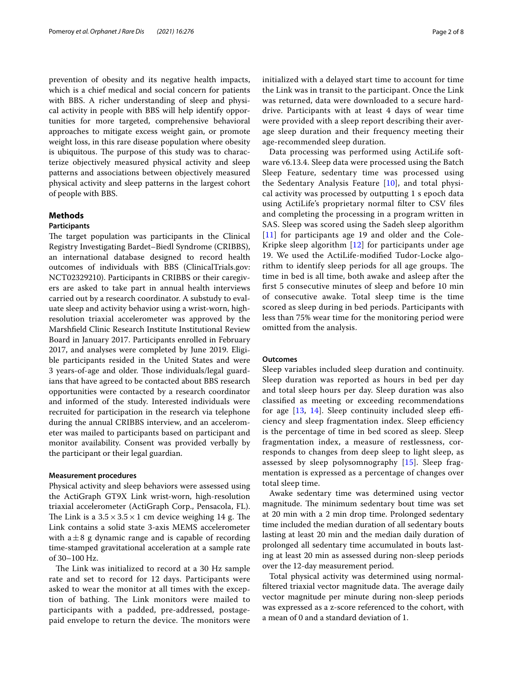prevention of obesity and its negative health impacts, which is a chief medical and social concern for patients with BBS. A richer understanding of sleep and physical activity in people with BBS will help identify opportunities for more targeted, comprehensive behavioral approaches to mitigate excess weight gain, or promote weight loss, in this rare disease population where obesity is ubiquitous. The purpose of this study was to characterize objectively measured physical activity and sleep patterns and associations between objectively measured physical activity and sleep patterns in the largest cohort of people with BBS.

# **Methods**

#### **Participants**

The target population was participants in the Clinical Registry Investigating Bardet–Biedl Syndrome (CRIBBS), an international database designed to record health outcomes of individuals with BBS (ClinicalTrials.gov: NCT02329210). Participants in CRIBBS or their caregivers are asked to take part in annual health interviews carried out by a research coordinator. A substudy to evaluate sleep and activity behavior using a wrist-worn, highresolution triaxial accelerometer was approved by the Marshfeld Clinic Research Institute Institutional Review Board in January 2017. Participants enrolled in February 2017, and analyses were completed by June 2019. Eligible participants resided in the United States and were 3 years-of-age and older. Those individuals/legal guardians that have agreed to be contacted about BBS research opportunities were contacted by a research coordinator and informed of the study. Interested individuals were recruited for participation in the research via telephone during the annual CRIBBS interview, and an accelerometer was mailed to participants based on participant and monitor availability. Consent was provided verbally by the participant or their legal guardian.

#### **Measurement procedures**

Physical activity and sleep behaviors were assessed using the ActiGraph GT9X Link wrist-worn, high-resolution triaxial accelerometer (ActiGraph Corp., Pensacola, FL). The Link is a  $3.5 \times 3.5 \times 1$  cm device weighing 14 g. The Link contains a solid state 3-axis MEMS accelerometer with  $a \pm 8$  g dynamic range and is capable of recording time-stamped gravitational acceleration at a sample rate of 30–100 Hz.

The Link was initialized to record at a 30 Hz sample rate and set to record for 12 days. Participants were asked to wear the monitor at all times with the exception of bathing. The Link monitors were mailed to participants with a padded, pre-addressed, postagepaid envelope to return the device. The monitors were initialized with a delayed start time to account for time the Link was in transit to the participant. Once the Link was returned, data were downloaded to a secure harddrive. Participants with at least 4 days of wear time were provided with a sleep report describing their average sleep duration and their frequency meeting their age-recommended sleep duration.

Data processing was performed using ActiLife software v6.13.4. Sleep data were processed using the Batch Sleep Feature, sedentary time was processed using the Sedentary Analysis Feature [[10\]](#page-6-9), and total physical activity was processed by outputting 1 s epoch data using ActiLife's proprietary normal flter to CSV fles and completing the processing in a program written in SAS. Sleep was scored using the Sadeh sleep algorithm [[11](#page-6-10)] for participants age 19 and older and the Cole-Kripke sleep algorithm [[12\]](#page-6-11) for participants under age 19. We used the ActiLife-modifed Tudor-Locke algorithm to identify sleep periods for all age groups. The time in bed is all time, both awake and asleep after the frst 5 consecutive minutes of sleep and before 10 min of consecutive awake. Total sleep time is the time scored as sleep during in bed periods. Participants with less than 75% wear time for the monitoring period were omitted from the analysis.

#### **Outcomes**

Sleep variables included sleep duration and continuity. Sleep duration was reported as hours in bed per day and total sleep hours per day. Sleep duration was also classifed as meeting or exceeding recommendations for age  $[13, 14]$  $[13, 14]$  $[13, 14]$  $[13, 14]$ . Sleep continuity included sleep efficiency and sleep fragmentation index. Sleep efficiency is the percentage of time in bed scored as sleep. Sleep fragmentation index, a measure of restlessness, corresponds to changes from deep sleep to light sleep, as assessed by sleep polysomnography [[15](#page-6-14)]. Sleep fragmentation is expressed as a percentage of changes over total sleep time.

Awake sedentary time was determined using vector magnitude. The minimum sedentary bout time was set at 20 min with a 2 min drop time. Prolonged sedentary time included the median duration of all sedentary bouts lasting at least 20 min and the median daily duration of prolonged all sedentary time accumulated in bouts lasting at least 20 min as assessed during non-sleep periods over the 12-day measurement period.

Total physical activity was determined using normalfiltered triaxial vector magnitude data. The average daily vector magnitude per minute during non-sleep periods was expressed as a z-score referenced to the cohort, with a mean of 0 and a standard deviation of 1.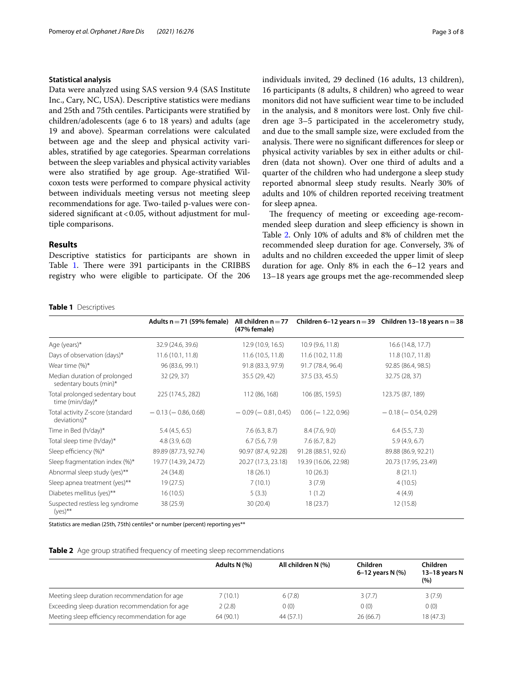## **Statistical analysis**

Data were analyzed using SAS version 9.4 (SAS Institute Inc., Cary, NC, USA). Descriptive statistics were medians and 25th and 75th centiles. Participants were stratifed by children/adolescents (age 6 to 18 years) and adults (age 19 and above). Spearman correlations were calculated between age and the sleep and physical activity variables, stratifed by age categories. Spearman correlations between the sleep variables and physical activity variables were also stratifed by age group. Age-stratifed Wilcoxon tests were performed to compare physical activity between individuals meeting versus not meeting sleep recommendations for age. Two-tailed p-values were considered significant at  $< 0.05$ , without adjustment for multiple comparisons.

# **Results**

Descriptive statistics for participants are shown in Table [1](#page-2-0). There were 391 participants in the CRIBBS registry who were eligible to participate. Of the 206 individuals invited, 29 declined (16 adults, 13 children), 16 participants (8 adults, 8 children) who agreed to wear monitors did not have sufficient wear time to be included in the analysis, and 8 monitors were lost. Only fve children age 3–5 participated in the accelerometry study, and due to the small sample size, were excluded from the analysis. There were no significant differences for sleep or physical activity variables by sex in either adults or children (data not shown). Over one third of adults and a quarter of the children who had undergone a sleep study reported abnormal sleep study results. Nearly 30% of adults and 10% of children reported receiving treatment for sleep apnea.

The frequency of meeting or exceeding age-recommended sleep duration and sleep efficiency is shown in Table [2](#page-2-1). Only 10% of adults and 8% of children met the recommended sleep duration for age. Conversely, 3% of adults and no children exceeded the upper limit of sleep duration for age. Only 8% in each the 6–12 years and 13–18 years age groups met the age-recommended sleep

#### <span id="page-2-0"></span>**Table 1** Descriptives

|                                                        | Adults $n = 71$ (59% female) | All children $n = 77$<br>(47% female) |                          | Children 6-12 years $n = 39$ Children 13-18 years $n = 38$ |
|--------------------------------------------------------|------------------------------|---------------------------------------|--------------------------|------------------------------------------------------------|
| Age (years)*                                           | 32.9 (24.6, 39.6)            | 12.9 (10.9, 16.5)                     | 10.9 (9.6, 11.8)         | 16.6 (14.8, 17.7)                                          |
| Days of observation (days)*                            | 11.6 (10.1, 11.8)            | 11.6 (10.5, 11.8)                     | 11.6(10.2, 11.8)         | 11.8 (10.7, 11.8)                                          |
| Wear time $(\%)^*$                                     | 96 (83.6, 99.1)              | 91.8 (83.3, 97.9)                     | 91.7 (78.4, 96.4)        | 92.85 (86.4, 98.5)                                         |
| Median duration of prolonged<br>sedentary bouts (min)* | 32 (29, 37)                  | 35.5 (29, 42)                         | 37.5 (33, 45.5)          | 32.75 (28, 37)                                             |
| Total prolonged sedentary bout<br>time (min/day)*      | 225 (174.5, 282)             | 112 (86, 168)                         | 106 (85, 159.5)          | 123.75 (87, 189)                                           |
| Total activity Z-score (standard<br>deviations)*       | $-0.13$ ( $-0.86, 0.68$ )    | $-0.09$ ( $-0.81$ , 0.45)             | $0.06$ ( $-1.22$ , 0.96) | $-0.18$ ( $-0.54$ , 0.29)                                  |
| Time in Bed (h/day)*                                   | 5.4(4.5, 6.5)                | 7.6(6.3, 8.7)                         | 8.4(7.6, 9.0)            | 6.4(5.5, 7.3)                                              |
| Total sleep time (h/day)*                              | 4.8(3.9, 6.0)                | 6.7(5.6, 7.9)                         | 7.6(6.7, 8.2)            | 5.9(4.9, 6.7)                                              |
| Sleep efficiency (%)*                                  | 89.89 (87.73, 92.74)         | 90.97 (87.4, 92.28)                   | 91.28 (88.51, 92.6)      | 89.88 (86.9, 92.21)                                        |
| Sleep fragmentation index (%)*                         | 19.77 (14.39, 24.72)         | 20.27 (17.3, 23.18)                   | 19.39 (16.06, 22.98)     | 20.73 (17.95, 23.49)                                       |
| Abnormal sleep study (yes)**                           | 24 (34.8)                    | 18(26.1)                              | 10(26.3)                 | 8(21.1)                                                    |
| Sleep apnea treatment (yes)**                          | 19(27.5)                     | 7(10.1)                               | 3(7.9)                   | 4(10.5)                                                    |
| Diabetes mellitus (yes)**                              | 16(10.5)                     | 5(3.3)                                | 1(1.2)                   | 4(4.9)                                                     |
| Suspected restless leg syndrome<br>$(yes)$ **          | 38 (25.9)                    | 30(20.4)                              | 18(23.7)                 | 12(15.8)                                                   |

Statistics are median (25th, 75th) centiles\* or number (percent) reporting yes\*\*

<span id="page-2-1"></span>

|  |  | Table 2 Age group stratified frequency of meeting sleep recommendations |
|--|--|-------------------------------------------------------------------------|
|  |  |                                                                         |

|                                                 | Adults N (%) | All children N (%) | Children<br>6-12 years N (%) | Children<br>13-18 years N<br>(%) |
|-------------------------------------------------|--------------|--------------------|------------------------------|----------------------------------|
| Meeting sleep duration recommendation for age   | 7(10.1)      | 6(7.8)             | 3(7.7)                       | 3(7.9)                           |
| Exceeding sleep duration recommendation for age | 2(2.8)       | 0(0)               | 0(0)                         | 0(0)                             |
| Meeting sleep efficiency recommendation for age | 64(90.1)     | 44 (57.1)          | 26(66.7)                     | 18 (47.3)                        |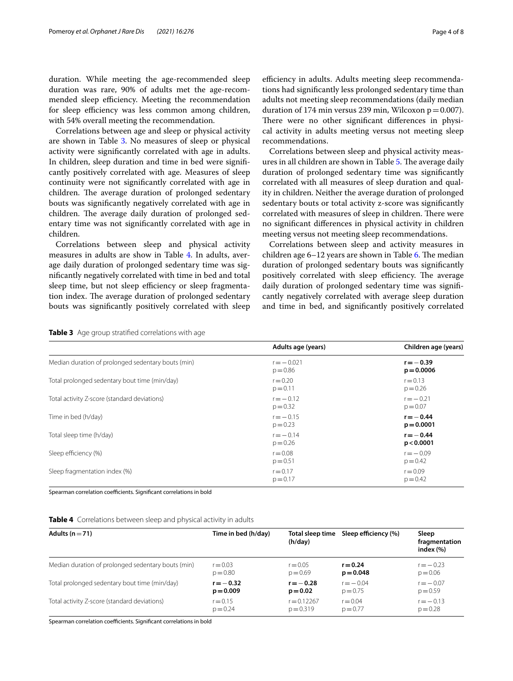duration. While meeting the age-recommended sleep duration was rare, 90% of adults met the age-recommended sleep efficiency. Meeting the recommendation for sleep efficiency was less common among children, with 54% overall meeting the recommendation.

Correlations between age and sleep or physical activity are shown in Table [3](#page-3-0). No measures of sleep or physical activity were signifcantly correlated with age in adults. In children, sleep duration and time in bed were signifcantly positively correlated with age. Measures of sleep continuity were not signifcantly correlated with age in children. The average duration of prolonged sedentary bouts was signifcantly negatively correlated with age in children. The average daily duration of prolonged sedentary time was not signifcantly correlated with age in children.

Correlations between sleep and physical activity measures in adults are show in Table [4](#page-3-1). In adults, average daily duration of prolonged sedentary time was signifcantly negatively correlated with time in bed and total sleep time, but not sleep efficiency or sleep fragmentation index. The average duration of prolonged sedentary bouts was signifcantly positively correlated with sleep efficiency in adults. Adults meeting sleep recommendations had signifcantly less prolonged sedentary time than adults not meeting sleep recommendations (daily median duration of 174 min versus 239 min, Wilcoxon  $p = 0.007$ ). There were no other significant differences in physical activity in adults meeting versus not meeting sleep recommendations.

Correlations between sleep and physical activity meas-ures in all children are shown in Table [5.](#page-4-0) The average daily duration of prolonged sedentary time was signifcantly correlated with all measures of sleep duration and quality in children. Neither the average duration of prolonged sedentary bouts or total activity z-score was signifcantly correlated with measures of sleep in children. There were no signifcant diferences in physical activity in children meeting versus not meeting sleep recommendations.

Correlations between sleep and activity measures in children age  $6-12$  years are shown in Table [6.](#page-4-1) The median duration of prolonged sedentary bouts was signifcantly positively correlated with sleep efficiency. The average daily duration of prolonged sedentary time was signifcantly negatively correlated with average sleep duration and time in bed, and signifcantly positively correlated

<span id="page-3-0"></span>

| Table 3 Age group stratified correlations with age |  |
|----------------------------------------------------|--|
|----------------------------------------------------|--|

|                                                    | Adults age (years)         | Children age (years)        |
|----------------------------------------------------|----------------------------|-----------------------------|
| Median duration of prolonged sedentary bouts (min) | $r = -0.021$<br>$p = 0.86$ | $r = -0.39$<br>$p = 0.0006$ |
| Total prolonged sedentary bout time (min/day)      | $r = 0.20$<br>$p = 0.11$   | $r = 0.13$<br>$p = 0.26$    |
| Total activity Z-score (standard deviations)       | $r = -0.12$<br>$p = 0.32$  | $r = -0.21$<br>$p = 0.07$   |
| Time in bed (h/day)                                | $r = -0.15$<br>$p = 0.23$  | $r = -0.44$<br>$p = 0.0001$ |
| Total sleep time (h/day)                           | $r = -0.14$<br>$p = 0.26$  | $r = -0.44$<br>p < 0.0001   |
| Sleep efficiency (%)                               | $r = 0.08$<br>$p = 0.51$   | $r = -0.09$<br>$p = 0.42$   |
| Sleep fragmentation index (%)                      | $r = 0.17$<br>$p = 0.17$   | $r = 0.09$<br>$p = 0.42$    |

Spearman correlation coefficients. Significant correlations in bold

<span id="page-3-1"></span>

| Adults ( $n = 71$ )                                | Time in bed (h/day) | Total sleep time<br>(h/day) | Sleep efficiency (%) | Sleep<br>fragmentation<br>index $(\%)$ |
|----------------------------------------------------|---------------------|-----------------------------|----------------------|----------------------------------------|
| Median duration of prolonged sedentary bouts (min) | $r = 0.03$          | $r = 0.05$                  | $r = 0.24$           | $r = -0.23$                            |
|                                                    | $p = 0.80$          | $p = 0.69$                  | $p = 0.048$          | $p = 0.06$                             |
| Total prolonged sedentary bout time (min/day)      | $r = -0.32$         | $r = -0.28$                 | $r = -0.04$          | $r = -0.07$                            |
|                                                    | $p = 0.009$         | $p = 0.02$                  | $p = 0.75$           | $p = 0.59$                             |
| Total activity Z-score (standard deviations)       | $r = 0.15$          | $r = 0.12267$               | $r = 0.04$           | $r = -0.13$                            |
|                                                    | $p = 0.24$          | $p = 0.319$                 | $p = 0.77$           | $p = 0.28$                             |

Spearman correlation coefficients. Significant correlations in bold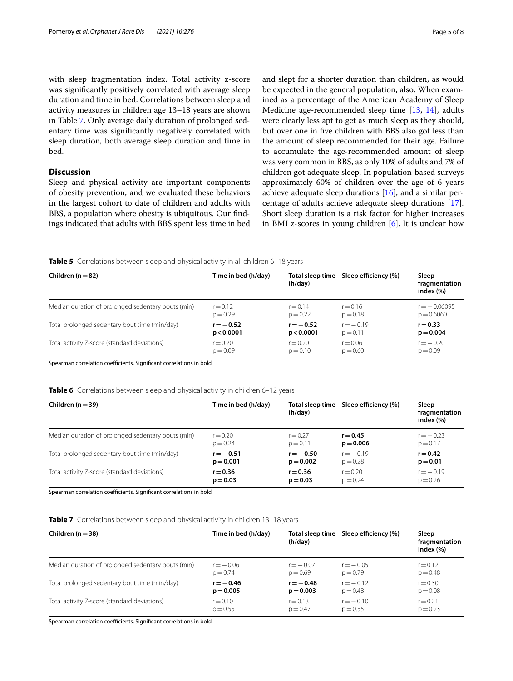with sleep fragmentation index. Total activity z-score was signifcantly positively correlated with average sleep duration and time in bed. Correlations between sleep and activity measures in children age 13–18 years are shown in Table [7](#page-4-2). Only average daily duration of prolonged sedentary time was signifcantly negatively correlated with sleep duration, both average sleep duration and time in bed.

# **Discussion**

Sleep and physical activity are important components of obesity prevention, and we evaluated these behaviors in the largest cohort to date of children and adults with BBS, a population where obesity is ubiquitous. Our fndings indicated that adults with BBS spent less time in bed and slept for a shorter duration than children, as would be expected in the general population, also. When examined as a percentage of the American Academy of Sleep Medicine age-recommended sleep time [\[13](#page-6-12), [14](#page-6-13)], adults were clearly less apt to get as much sleep as they should, but over one in fve children with BBS also got less than the amount of sleep recommended for their age. Failure to accumulate the age-recommended amount of sleep was very common in BBS, as only 10% of adults and 7% of children got adequate sleep. In population-based surveys approximately 60% of children over the age of 6 years achieve adequate sleep durations [[16\]](#page-6-15), and a similar percentage of adults achieve adequate sleep durations [\[17](#page-6-16)]. Short sleep duration is a risk factor for higher increases in BMI z-scores in young children [\[6](#page-6-5)]. It is unclear how

<span id="page-4-0"></span>**Table 5** Correlations between sleep and physical activity in all children 6–18 years

| Children ( $n = 82$ )                              | Time in bed (h/day) | Total sleep time<br>(h/day) | Sleep efficiency (%) | Sleep<br>fragmentation<br>index $(\%)$ |
|----------------------------------------------------|---------------------|-----------------------------|----------------------|----------------------------------------|
| Median duration of prolonged sedentary bouts (min) | $r = 0.12$          | $r = 0.14$                  | $r = 0.16$           | $r = -0.06095$                         |
|                                                    | $p = 0.29$          | $p = 0.22$                  | $p = 0.18$           | $p = 0.6060$                           |
| Total prolonged sedentary bout time (min/day)      | $r = -0.52$         | $r = -0.52$                 | $r = -0.19$          | $r = 0.33$                             |
|                                                    | p < 0.0001          | p < 0.0001                  | $p = 0.11$           | $p = 0.004$                            |
| Total activity Z-score (standard deviations)       | $r = 0.20$          | $r = 0.20$                  | $r = 0.06$           | $r = -0.20$                            |
|                                                    | $p = 0.09$          | $p = 0.10$                  | $p = 0.60$           | $p = 0.09$                             |

Spearman correlation coefficients. Significant correlations in bold

#### <span id="page-4-1"></span>**Table 6** Correlations between sleep and physical activity in children 6–12 years

| Children ( $n = 39$ )                              | Time in bed (h/day) | Total sleep time<br>(h/day) | Sleep efficiency (%) | Sleep<br>fragmentation<br>index $(\% )$ |
|----------------------------------------------------|---------------------|-----------------------------|----------------------|-----------------------------------------|
| Median duration of prolonged sedentary bouts (min) | $r = 0.20$          | $r = 0.27$                  | $r = 0.45$           | $r = -0.23$                             |
|                                                    | $p = 0.24$          | $p = 0.11$                  | $p = 0.006$          | $p = 0.17$                              |
| Total prolonged sedentary bout time (min/day)      | $r = -0.51$         | $r = -0.50$                 | $r = -0.19$          | $r = 0.42$                              |
|                                                    | $p = 0.001$         | $p = 0.002$                 | $p = 0.28$           | $p = 0.01$                              |
| Total activity Z-score (standard deviations)       | $r = 0.36$          | $r = 0.36$                  | $r = 0.20$           | $r = -0.19$                             |
|                                                    | $p = 0.03$          | $p = 0.03$                  | $p = 0.24$           | $p = 0.26$                              |

Spearman correlation coefficients. Significant correlations in bold

<span id="page-4-2"></span>

| Children ( $n = 38$ )                              | Time in bed (h/day) | Total sleep time<br>(h/day) | Sleep efficiency (%) | Sleep<br>fragmentation<br>Index (%) |
|----------------------------------------------------|---------------------|-----------------------------|----------------------|-------------------------------------|
| Median duration of prolonged sedentary bouts (min) | $r = -0.06$         | $r = -0.07$                 | $r = -0.05$          | $r = 0.12$                          |
|                                                    | $p = 0.74$          | $p = 0.69$                  | $p = 0.79$           | $p = 0.48$                          |
| Total prolonged sedentary bout time (min/day)      | $r = -0.46$         | $r = -0.48$                 | $r = -0.12$          | $r = 0.30$                          |
|                                                    | $p = 0.005$         | $p = 0.003$                 | $p = 0.48$           | $p = 0.08$                          |
| Total activity Z-score (standard deviations)       | $r = 0.10$          | $r = 0.13$                  | $r = -0.10$          | $r = 0.21$                          |
|                                                    | $p = 0.55$          | $p = 0.47$                  | $p = 0.55$           | $p = 0.23$                          |

Spearman correlation coefficients. Significant correlations in bold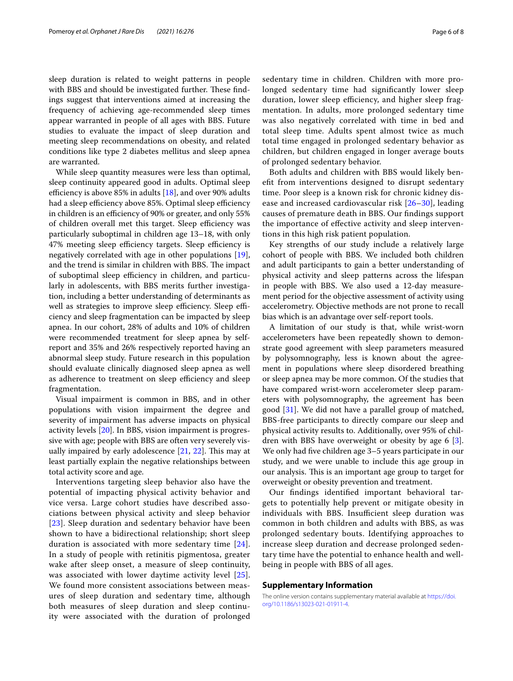sleep duration is related to weight patterns in people with BBS and should be investigated further. These findings suggest that interventions aimed at increasing the frequency of achieving age-recommended sleep times appear warranted in people of all ages with BBS. Future studies to evaluate the impact of sleep duration and meeting sleep recommendations on obesity, and related conditions like type 2 diabetes mellitus and sleep apnea are warranted.

While sleep quantity measures were less than optimal, sleep continuity appeared good in adults. Optimal sleep efficiency is above 85% in adults  $[18]$  $[18]$ , and over 90% adults had a sleep efficiency above 85%. Optimal sleep efficiency in children is an efficiency of 90% or greater, and only 55% of children overall met this target. Sleep efficiency was particularly suboptimal in children age 13–18, with only 47% meeting sleep efficiency targets. Sleep efficiency is negatively correlated with age in other populations [\[19](#page-6-18)], and the trend is similar in children with BBS. The impact of suboptimal sleep efficiency in children, and particularly in adolescents, with BBS merits further investigation, including a better understanding of determinants as well as strategies to improve sleep efficiency. Sleep efficiency and sleep fragmentation can be impacted by sleep apnea. In our cohort, 28% of adults and 10% of children were recommended treatment for sleep apnea by selfreport and 35% and 26% respectively reported having an abnormal sleep study. Future research in this population should evaluate clinically diagnosed sleep apnea as well as adherence to treatment on sleep efficiency and sleep fragmentation.

Visual impairment is common in BBS, and in other populations with vision impairment the degree and severity of impairment has adverse impacts on physical activity levels [[20](#page-6-19)]. In BBS, vision impairment is progressive with age; people with BBS are often very severely visually impaired by early adolescence  $[21, 22]$  $[21, 22]$  $[21, 22]$  $[21, 22]$ . This may at least partially explain the negative relationships between total activity score and age.

Interventions targeting sleep behavior also have the potential of impacting physical activity behavior and vice versa. Large cohort studies have described associations between physical activity and sleep behavior [[23](#page-7-1)]. Sleep duration and sedentary behavior have been shown to have a bidirectional relationship; short sleep duration is associated with more sedentary time [[24\]](#page-7-2). In a study of people with retinitis pigmentosa, greater wake after sleep onset, a measure of sleep continuity, was associated with lower daytime activity level [[25\]](#page-7-3). We found more consistent associations between measures of sleep duration and sedentary time, although both measures of sleep duration and sleep continuity were associated with the duration of prolonged sedentary time in children. Children with more prolonged sedentary time had signifcantly lower sleep duration, lower sleep efficiency, and higher sleep fragmentation. In adults, more prolonged sedentary time was also negatively correlated with time in bed and total sleep time. Adults spent almost twice as much total time engaged in prolonged sedentary behavior as children, but children engaged in longer average bouts of prolonged sedentary behavior.

Both adults and children with BBS would likely benefit from interventions designed to disrupt sedentary time. Poor sleep is a known risk for chronic kidney disease and increased cardiovascular risk [\[26](#page-7-4)[–30\]](#page-7-5), leading causes of premature death in BBS. Our fndings support the importance of efective activity and sleep interventions in this high risk patient population.

Key strengths of our study include a relatively large cohort of people with BBS. We included both children and adult participants to gain a better understanding of physical activity and sleep patterns across the lifespan in people with BBS. We also used a 12-day measurement period for the objective assessment of activity using accelerometry. Objective methods are not prone to recall bias which is an advantage over self-report tools.

A limitation of our study is that, while wrist-worn accelerometers have been repeatedly shown to demonstrate good agreement with sleep parameters measured by polysomnography, less is known about the agreement in populations where sleep disordered breathing or sleep apnea may be more common. Of the studies that have compared wrist-worn accelerometer sleep parameters with polysomnography, the agreement has been good [[31](#page-7-6)]. We did not have a parallel group of matched, BBS-free participants to directly compare our sleep and physical activity results to. Additionally, over 95% of children with BBS have overweight or obesity by age 6 [\[3](#page-6-2)]. We only had fve children age 3–5 years participate in our study, and we were unable to include this age group in our analysis. This is an important age group to target for overweight or obesity prevention and treatment.

Our fndings identifed important behavioral targets to potentially help prevent or mitigate obesity in individuals with BBS. Insufficient sleep duration was common in both children and adults with BBS, as was prolonged sedentary bouts. Identifying approaches to increase sleep duration and decrease prolonged sedentary time have the potential to enhance health and wellbeing in people with BBS of all ages.

#### **Supplementary Information**

The online version contains supplementary material available at [https://doi.](https://doi.org/10.1186/s13023-021-01911-4) [org/10.1186/s13023-021-01911-4](https://doi.org/10.1186/s13023-021-01911-4).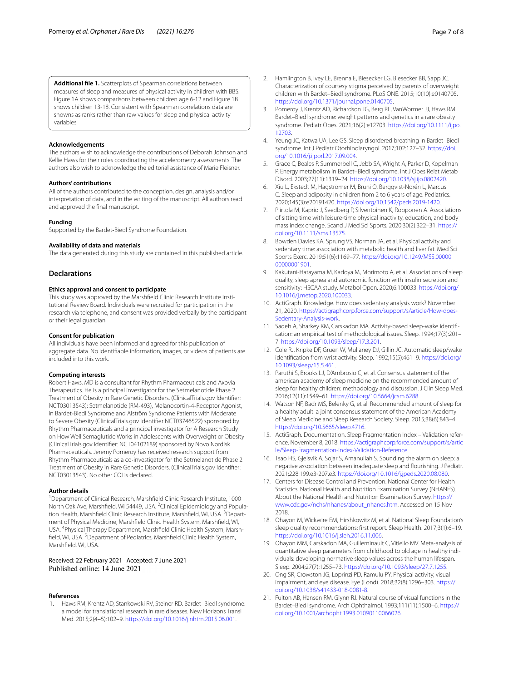**Additional fle 1.** Scatterplots of Spearman correlations between measures of sleep and measures of physical activity in children with BBS. Figure 1A shows comparisons between children age 6-12 and Figure 1B shows children 13-18. Consistent with Spearman correlations data are showns as ranks rather than raw values for sleep and physical activity variables.

#### **Acknowledgements**

The authors wish to acknowledge the contributions of Deborah Johnson and Kellie Haws for their roles coordinating the accelerometry assessments. The authors also wish to acknowledge the editorial assistance of Marie Fleisner.

#### **Authors' contributions**

All of the authors contributed to the conception, design, analysis and/or interpretation of data, and in the writing of the manuscript. All authors read and approved the fnal manuscript.

#### **Funding**

Supported by the Bardet‐Biedl Syndrome Foundation.

#### **Availability of data and materials**

The data generated during this study are contained in this published article.

#### **Declarations**

#### **Ethics approval and consent to participate**

This study was approved by the Marshfeld Clinic Research Institute Institutional Review Board. Individuals were recruited for participation in the research via telephone, and consent was provided verbally by the participant or their legal guardian.

#### **Consent for publication**

All individuals have been informed and agreed for this publication of aggregate data. No identifable information, images, or videos of patients are included into this work.

#### **Competing interests**

Robert Haws, MD is a consultant for Rhythm Pharmaceuticals and Axovia Therapeutics. He is a principal investigator for the Setmelanotide Phase 2 Treatment of Obesity in Rare Genetic Disorders. (ClinicalTrials.gov Identifer: NCT03013543); Setmelanotide (RM‐493), Melanocortin‐4‐Receptor Agonist, in Bardet‐Biedl Syndrome and Alström Syndrome Patients with Moderate to Severe Obesity (ClinicalTrials.gov Identifer NCT03746522) sponsored by Rhythm Pharmaceuticals and a principal investigator for A Research Study on How Well Semaglutide Works in Adolescents with Overweight or Obesity (ClinicalTrials.gov Identifer: NCT04102189) sponsored by Novo Nordisk Pharmaceuticals. Jeremy Pomeroy has received research support from Rhythm Pharmaceuticals as a co‐investigator for the Setmelanotide Phase 2 Treatment of Obesity in Rare Genetic Disorders. (ClinicalTrials.gov Identifer: NCT03013543). No other COI is declared.

#### **Author details**

<sup>1</sup> Department of Clinical Research, Marshfield Clinic Research Institute, 1000 North Oak Ave, Marshfield, WI 54449, USA. <sup>2</sup>Clinical Epidemiology and Population Health, Marshfield Clinic Research Institute, Marshfield, WI, USA. <sup>3</sup>Department of Physical Medicine, Marshfeld Clinic Health System, Marshfeld, WI, USA. <sup>4</sup>Physical Therapy Department, Marshfield Clinic Health System, Marshfield, WI, USA.<sup>5</sup> Department of Pediatrics, Marshfield Clinic Health System, Marshfeld, WI, USA.

# Received: 22 February 2021 Accepted: 7 June 2021

#### **References**

<span id="page-6-0"></span>1. Haws RM, Krentz AD, Stankowski RV, Steiner RD. Bardet–Biedl syndrome: a model for translational research in rare diseases. New Horizons Transl Med. 2015;2(4–5):102–9.<https://doi.org/10.1016/j.nhtm.2015.06.001>.

- <span id="page-6-1"></span>2. Hamlington B, Ivey LE, Brenna E, Biesecker LG, Biesecker BB, Sapp JC. Characterization of courtesy stigma perceived by parents of overweight children with Bardet–Biedl syndrome. PLoS ONE. 2015;10(10):e0140705. <https://doi.org/10.1371/journal.pone.0140705>.
- <span id="page-6-2"></span>3. Pomeroy J, Krentz AD, Richardson JG, Berg RL, VanWormer JJ, Haws RM. Bardet–Biedl syndrome: weight patterns and genetics in a rare obesity syndrome. Pediatr Obes. 2021;16(2):e12703. [https://doi.org/10.1111/ijpo.](https://doi.org/10.1111/ijpo.12703) [12703](https://doi.org/10.1111/ijpo.12703).
- <span id="page-6-3"></span>Yeung JC, Katwa UA, Lee GS. Sleep disordered breathing in Bardet-Biedl syndrome. Int J Pediatr Otorhinolaryngol. 2017;102:127–32. [https://doi.](https://doi.org/10.1016/j.ijporl.2017.09.004) [org/10.1016/j.ijporl.2017.09.004](https://doi.org/10.1016/j.ijporl.2017.09.004).
- <span id="page-6-4"></span>5. Grace C, Beales P, Summerbell C, Jebb SA, Wright A, Parker D, Kopelman P. Energy metabolism in Bardet–Biedl syndrome. Int J Obes Relat Metab Disord. 2003;27(11):1319–24. [https://doi.org/10.1038/sj.ijo.0802420.](https://doi.org/10.1038/sj.ijo.0802420)
- <span id="page-6-5"></span>6. Xiu L, Ekstedt M, Hagströmer M, Bruni O, Bergqvist-Norén L, Marcus C. Sleep and adiposity in children from 2 to 6 years of age. Pediatrics. 2020;145(3):e20191420. [https://doi.org/10.1542/peds.2019-1420.](https://doi.org/10.1542/peds.2019-1420)
- <span id="page-6-6"></span>7. Piirtola M, Kaprio J, Svedberg P, Silventoinen K, Ropponen A. Associations of sitting time with leisure-time physical inactivity, education, and body mass index change. Scand J Med Sci Sports. 2020;30(2):322–31. [https://](https://doi.org/10.1111/sms.13575) [doi.org/10.1111/sms.13575.](https://doi.org/10.1111/sms.13575)
- <span id="page-6-7"></span>8. Bowden Davies KA, Sprung VS, Norman JA, et al. Physical activity and sedentary time: association with metabolic health and liver fat. Med Sci Sports Exerc. 2019;51(6):1169–77. [https://doi.org/10.1249/MSS.00000](https://doi.org/10.1249/MSS.0000000000001901) [00000001901.](https://doi.org/10.1249/MSS.0000000000001901)
- <span id="page-6-8"></span>Kakutani-Hatayama M, Kadoya M, Morimoto A, et al. Associations of sleep quality, sleep apnea and autonomic function with insulin secretion and sensitivity: HSCAA study. Metabol Open. 2020;6:100033. [https://doi.org/](https://doi.org/10.1016/j.metop.2020.100033) [10.1016/j.metop.2020.100033.](https://doi.org/10.1016/j.metop.2020.100033)
- <span id="page-6-9"></span>10. ActiGraph. Knowledge. How does sedentary analysis work? November 21, 2020. [https://actigraphcorp.force.com/support/s/article/How-does-](https://actigraphcorp.force.com/support/s/article/How-does-Sedentary-Analysis-work)[Sedentary-Analysis-work](https://actigraphcorp.force.com/support/s/article/How-does-Sedentary-Analysis-work).
- <span id="page-6-10"></span>11. Sadeh A, Sharkey KM, Carskadon MA. Activity-based sleep-wake identifcation: an empirical test of methodological issues. Sleep. 1994;17(3):201– 7.<https://doi.org/10.1093/sleep/17.3.201>.
- <span id="page-6-11"></span>12. Cole RJ, Kripke DF, Gruen W, Mullaney DJ, Gillin JC. Automatic sleep/wake identifcation from wrist activity. Sleep. 1992;15(5):461–9. [https://doi.org/](https://doi.org/10.1093/sleep/15.5.461) [10.1093/sleep/15.5.461.](https://doi.org/10.1093/sleep/15.5.461)
- <span id="page-6-12"></span>13. Paruthi S, Brooks LJ, D'Ambrosio C, et al. Consensus statement of the american academy of sleep medicine on the recommended amount of sleep for healthy children: methodology and discussion. J Clin Sleep Med. 2016;12(11):1549–61. [https://doi.org/10.5664/jcsm.6288.](https://doi.org/10.5664/jcsm.6288)
- <span id="page-6-13"></span>14. Watson NF, Badr MS, Belenky G, et al. Recommended amount of sleep for a healthy adult: a joint consensus statement of the American Academy of Sleep Medicine and Sleep Research Society. Sleep. 2015;38(6):843–4. <https://doi.org/10.5665/sleep.4716>.
- <span id="page-6-14"></span>15. ActiGraph. Documentation. Sleep Fragmentation Index – Validation reference. November 8, 2018. [https://actigraphcorp.force.com/support/s/artic](https://actigraphcorp.force.com/support/s/article/Sleep-Fragmentation-Index-Validation-Reference) [le/Sleep-Fragmentation-Index-Validation-Reference](https://actigraphcorp.force.com/support/s/article/Sleep-Fragmentation-Index-Validation-Reference).
- <span id="page-6-15"></span>16. Tsao HS, Gjelsvik A, Sojar S, Amanullah S. Sounding the alarm on sleep: a negative association between inadequate sleep and fourishing. J Pediatr. 2021;228:199.e3-207.e3.<https://doi.org/10.1016/j.jpeds.2020.08.080>.
- <span id="page-6-16"></span>17. Centers for Disease Control and Prevention. National Center for Health Statistics. National Health and Nutrition Examination Survey (NHANES). About the National Health and Nutrition Examination Survey. [https://](https://www.cdc.gov/nchs/nhanes/about_nhanes.htm) [www.cdc.gov/nchs/nhanes/about\\_nhanes.htm.](https://www.cdc.gov/nchs/nhanes/about_nhanes.htm) Accessed on 15 Nov 2018.
- <span id="page-6-17"></span>18. Ohayon M, Wickwire EM, Hirshkowitz M, et al. National Sleep Foundation's sleep quality recommendations: frst report. Sleep Health. 2017;3(1):6–19. <https://doi.org/10.1016/j.sleh.2016.11.006>.
- <span id="page-6-18"></span>19. Ohayon MM, Carskadon MA, Guilleminault C, Vitiello MV. Meta-analysis of quantitative sleep parameters from childhood to old age in healthy individuals: developing normative sleep values across the human lifespan. Sleep. 2004;27(7):1255–73. <https://doi.org/10.1093/sleep/27.7.1255>.
- <span id="page-6-19"></span>20. Ong SR, Crowston JG, Loprinzi PD, Ramulu PY. Physical activity, visual impairment, and eye disease. Eye (Lond). 2018;32(8):1296–303. [https://](https://doi.org/10.1038/s41433-018-0081-8) [doi.org/10.1038/s41433-018-0081-8](https://doi.org/10.1038/s41433-018-0081-8).
- <span id="page-6-20"></span>21. Fulton AB, Hansen RM, Glynn RJ. Natural course of visual functions in the Bardet–Biedl syndrome. Arch Ophthalmol. 1993;111(11):1500–6. [https://](https://doi.org/10.1001/archopht.1993.01090110066026) [doi.org/10.1001/archopht.1993.01090110066026](https://doi.org/10.1001/archopht.1993.01090110066026).